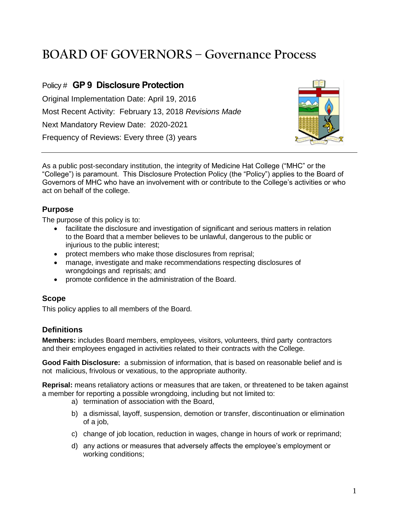# **BOARD OF GOVERNORS – Governance Process**

# Policy # **GP 9 Disclosure Protection**

Original Implementation Date: April 19, 2016 Most Recent Activity: February 13, 2018 *Revisions Made* Next Mandatory Review Date: 2020-2021 Frequency of Reviews: Every three (3) years



As a public post-secondary institution, the integrity of Medicine Hat College ("MHC" or the "College") is paramount. This Disclosure Protection Policy (the "Policy") applies to the Board of Governors of MHC who have an involvement with or contribute to the College's activities or who act on behalf of the college.

# **Purpose**

The purpose of this policy is to:

- facilitate the disclosure and investigation of significant and serious matters in relation to the Board that a member believes to be unlawful, dangerous to the public or injurious to the public interest;
- protect members who make those disclosures from reprisal;
- manage, investigate and make recommendations respecting disclosures of wrongdoings and reprisals; and
- promote confidence in the administration of the Board.

#### **Scope**

This policy applies to all members of the Board.

# **Definitions**

**Members:** includes Board members, employees, visitors, volunteers, third party contractors and their employees engaged in activities related to their contracts with the College.

**Good Faith Disclosure:** a submission of information, that is based on reasonable belief and is not malicious, frivolous or vexatious, to the appropriate authority.

**Reprisal:** means retaliatory actions or measures that are taken, or threatened to be taken against a member for reporting a possible wrongdoing, including but not limited to:

- a) termination of association with the Board,
- b) a dismissal, layoff, suspension, demotion or transfer, discontinuation or elimination of a job,
- c) change of job location, reduction in wages, change in hours of work or reprimand;
- d) any actions or measures that adversely affects the employee's employment or working conditions;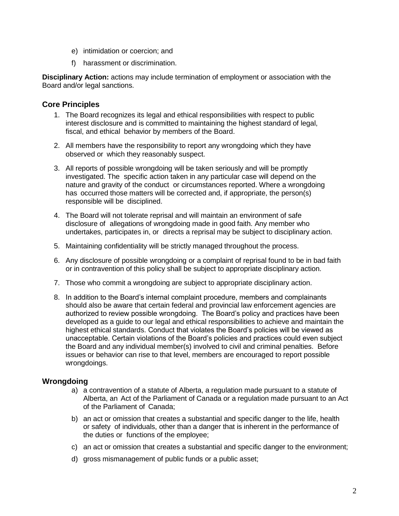- e) intimidation or coercion; and
- f) harassment or discrimination.

**Disciplinary Action:** actions may include termination of employment or association with the Board and/or legal sanctions.

#### **Core Principles**

- 1. The Board recognizes its legal and ethical responsibilities with respect to public interest disclosure and is committed to maintaining the highest standard of legal, fiscal, and ethical behavior by members of the Board.
- 2. All members have the responsibility to report any wrongdoing which they have observed or which they reasonably suspect.
- 3. All reports of possible wrongdoing will be taken seriously and will be promptly investigated. The specific action taken in any particular case will depend on the nature and gravity of the conduct or circumstances reported. Where a wrongdoing has occurred those matters will be corrected and, if appropriate, the person(s) responsible will be disciplined.
- 4. The Board will not tolerate reprisal and will maintain an environment of safe disclosure of allegations of wrongdoing made in good faith. Any member who undertakes, participates in, or directs a reprisal may be subject to disciplinary action.
- 5. Maintaining confidentiality will be strictly managed throughout the process.
- 6. Any disclosure of possible wrongdoing or a complaint of reprisal found to be in bad faith or in contravention of this policy shall be subject to appropriate disciplinary action.
- 7. Those who commit a wrongdoing are subject to appropriate disciplinary action.
- 8. In addition to the Board's internal complaint procedure, members and complainants should also be aware that certain federal and provincial law enforcement agencies are authorized to review possible wrongdoing. The Board's policy and practices have been developed as a guide to our legal and ethical responsibilities to achieve and maintain the highest ethical standards. Conduct that violates the Board's policies will be viewed as unacceptable. Certain violations of the Board's policies and practices could even subject the Board and any individual member(s) involved to civil and criminal penalties. Before issues or behavior can rise to that level, members are encouraged to report possible wrongdoings.

# **Wrongdoing**

- a) a contravention of a statute of Alberta, a regulation made pursuant to a statute of Alberta, an Act of the Parliament of Canada or a regulation made pursuant to an Act of the Parliament of Canada;
- b) an act or omission that creates a substantial and specific danger to the life, health or safety of individuals, other than a danger that is inherent in the performance of the duties or functions of the employee;
- c) an act or omission that creates a substantial and specific danger to the environment;
- d) gross mismanagement of public funds or a public asset;